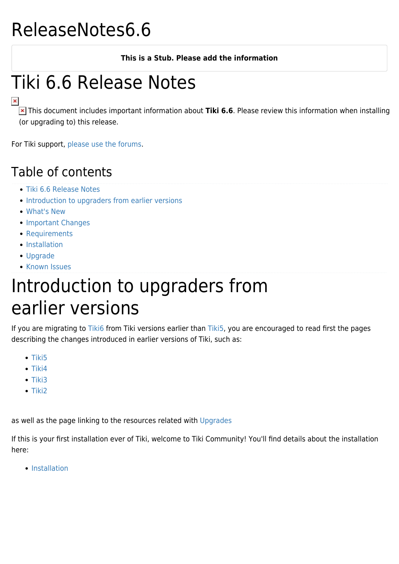## ReleaseNotes6.6

#### **This is a Stub. Please add the information**

# Tiki 6.6 Release Notes

 This document includes important information about **Tiki 6.6**. Please review this information when installing (or upgrading to) this release.

For Tiki support, [please use the forums](http://www.tiki.org/forums).

### Table of contents

- [Tiki 6.6 Release Notes](#Tiki_6.6_Release_Notes)
- [Introduction to upgraders from earlier versions](#page--1-0)
- [What's New](#page--1-0)
- [Important Changes](#page--1-0)
- [Requirements](#page--1-0)
- [Installation](#page--1-0)
- [Upgrade](#page--1-0)
- [Known Issues](#page--1-0)

## Introduction to upgraders from earlier versions

If you are migrating to [Tiki6](http://doc.tiki.org/Tiki6) from Tiki versions earlier than [Tiki5,](http://doc.tiki.org/Tiki5) you are encouraged to read first the pages describing the changes introduced in earlier versions of Tiki, such as:

- $\bullet$  [Tiki5](http://doc.tiki.org/Tiki5)
- $\bullet$  [Tiki4](http://doc.tiki.org/Tiki4)
- $\bullet$  [Tiki3](http://doc.tiki.org/Tiki3)
- $\bullet$  [Tiki2](http://doc.tiki.org/Tiki2)

as well as the page linking to the resources related with [Upgrades](http://doc.tiki.org/Upgrades)

If this is your first installation ever of Tiki, welcome to Tiki Community! You'll find details about the installation here:

• [Installation](http://doc.tiki.org/Installation)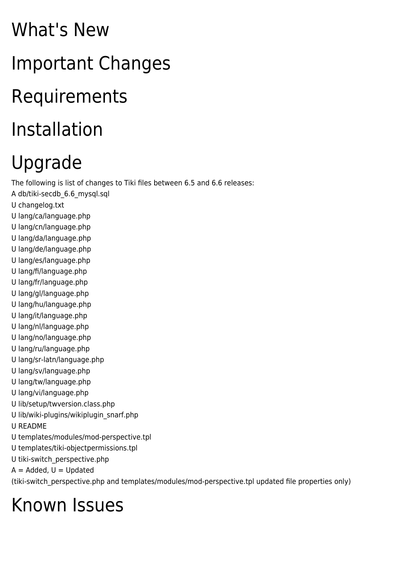# What's New Important Changes Requirements Installation

# Upgrade

The following is list of changes to Tiki files between 6.5 and 6.6 releases:

- A db/tiki-secdb\_6.6\_mysql.sql
- U changelog.txt
- U lang/ca/language.php
- U lang/cn/language.php
- U lang/da/language.php
- U lang/de/language.php
- U lang/es/language.php
- U lang/fi/language.php
- U lang/fr/language.php
- U lang/gl/language.php
- U lang/hu/language.php
- U lang/it/language.php
- U lang/nl/language.php
- U lang/no/language.php
- U lang/ru/language.php
- U lang/sr-latn/language.php
- U lang/sv/language.php
- U lang/tw/language.php
- U lang/vi/language.php
- U lib/setup/twversion.class.php
- U lib/wiki-plugins/wikiplugin\_snarf.php
- U README
- U templates/modules/mod-perspective.tpl
- U templates/tiki-objectpermissions.tpl
- U tiki-switch\_perspective.php
- $A =$  Added,  $U =$  Updated

(tiki-switch\_perspective.php and templates/modules/mod-perspective.tpl updated file properties only)

# Known Issues